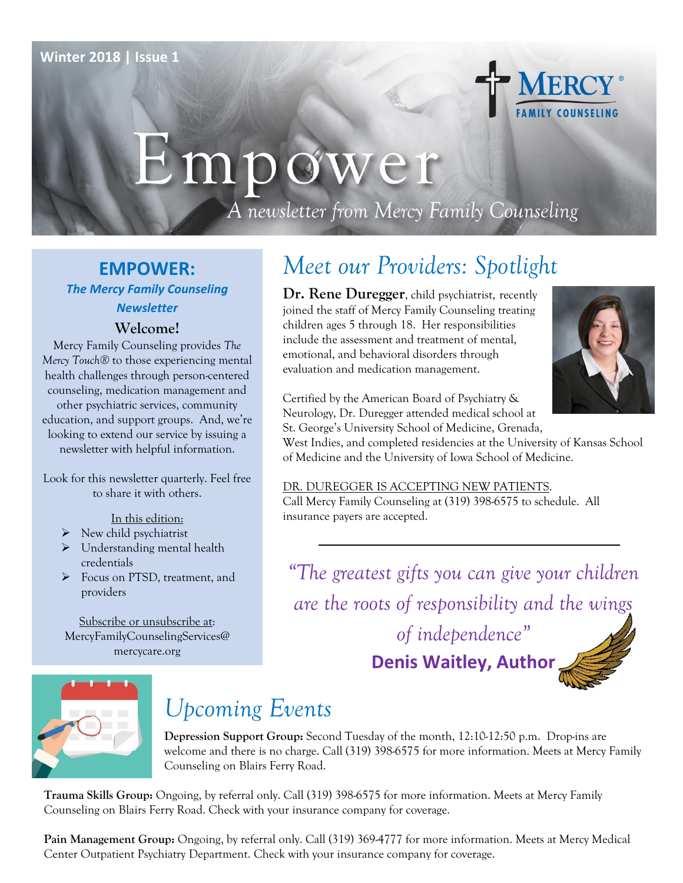

# Empower

A newsletter from Mercy Family Counseling

#### **EMPOWER:** *The Mercy Family Counseling Newsletter*

#### **Welcome!**

Mercy Family Counseling provides *The Mercy Touch®* to those experiencing mental health challenges through person-centered counseling, medication management and other psychiatric services, community education, and support groups. And, we're looking to extend our service by issuing a newsletter with helpful information.

Look for this newsletter quarterly. Feel free to share it with others.

In this edition:

- $\triangleright$  New child psychiatrist
- > Understanding mental health [credentials](#page-1-0)
- [Focus on PTSD, treatment, and](#page-2-0)  [providers](#page-2-0)

Subscribe or unsubscribe at: MercyFamilyCounselingServices@ mercycare.org

# *Meet our Providers: Spotlight*

**Dr. Rene Duregger**, child psychiatrist, recently joined the staff of Mercy Family Counseling treating children ages 5 through 18. Her responsibilities include the assessment and treatment of mental, emotional, and behavioral disorders through evaluation and medication management.



Certified by the American Board of Psychiatry & Neurology, Dr. Duregger attended medical school at St. George's University School of Medicine, Grenada,

West Indies, and completed residencies at the University of Kansas School of Medicine and the University of Iowa School of Medicine.

DR. DUREGGER IS ACCEPTING NEW PATIENTS. Call Mercy Family Counseling at (319) 398-6575 to schedule. All insurance payers are accepted.

*"The greatest gifts you can give your children are the roots of responsibility and the wings of independence"* **Denis Waitley, Author**



# *Upcoming Events*

**Depression Support Group:** Second Tuesday of the month, 12:10-12:50 p.m. Drop-ins are welcome and there is no charge. Call (319) 398-6575 for more information. Meets at Mercy Family Counseling on Blairs Ferry Road.

**Trauma Skills Group:** Ongoing, by referral only. Call (319) 398-6575 for more information. Meets at Mercy Family Counseling on Blairs Ferry Road. Check with your insurance company for coverage.

**Pain Management Group:** Ongoing, by referral only. Call (319) 369-4777 for more information. Meets at Mercy Medical Center Outpatient Psychiatry Department. Check with your insurance company for coverage.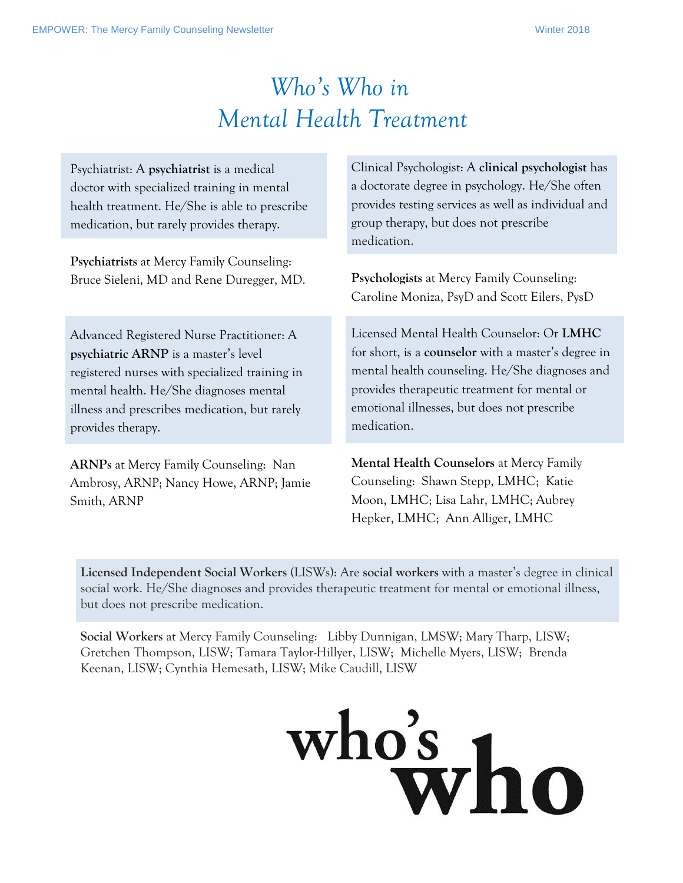# *Who's Who in Mental Health Treatment*

<span id="page-1-0"></span>

| Psychiatrist: A psychiatrist is a medical<br>doctor with specialized training in mental<br>health treatment. He/She is able to prescribe<br>medication, but rarely provides therapy. | Clinical Psychologist: A clinical psychologist has<br>a doctorate degree in psychology. He/She often<br>provides testing services as well as individual and<br>group therapy, but does not prescribe<br>medication. |
|--------------------------------------------------------------------------------------------------------------------------------------------------------------------------------------|---------------------------------------------------------------------------------------------------------------------------------------------------------------------------------------------------------------------|
| Psychiatrists at Mercy Family Counseling:                                                                                                                                            | Psychologists at Mercy Family Counseling:                                                                                                                                                                           |
| Bruce Sieleni, MD and Rene Duregger, MD.                                                                                                                                             | Caroline Moniza, PsyD and Scott Eilers, PysD                                                                                                                                                                        |
| Advanced Registered Nurse Practitioner: A                                                                                                                                            | Licensed Mental Health Counselor: Or LMHC                                                                                                                                                                           |
| psychiatric ARNP is a master's level                                                                                                                                                 | for short, is a <b>counselor</b> with a master's degree in                                                                                                                                                          |
| registered nurses with specialized training in                                                                                                                                       | mental health counseling. He/She diagnoses and                                                                                                                                                                      |
| mental health. He/She diagnoses mental                                                                                                                                               | provides therapeutic treatment for mental or                                                                                                                                                                        |
| illness and prescribes medication, but rarely                                                                                                                                        | emotional illnesses, but does not prescribe                                                                                                                                                                         |
| provides therapy.                                                                                                                                                                    | medication.                                                                                                                                                                                                         |
| <b>ARNPs</b> at Mercy Family Counseling: Nan<br>Ambrosy, ARNP; Nancy Howe, ARNP; Jamie<br>Smith, ARNP                                                                                | Mental Health Counselors at Mercy Family<br>Counseling: Shawn Stepp, LMHC; Katie<br>Moon, LMHC; Lisa Lahr, LMHC; Aubrey<br>Hepker, LMHC; Ann Alliger, LMHC                                                          |

**Licensed Independent Social Workers** (LISWs): Are **social workers** with a master's degree in clinical social work. He/She diagnoses and provides therapeutic treatment for mental or emotional illness, but does not prescribe medication.

**Social Workers** at Mercy Family Counseling: Libby Dunnigan, LMSW; Mary Tharp, LISW; Gretchen Thompson, LISW; Tamara Taylor-Hillyer, LISW; Michelle Myers, LISW; Brenda Keenan, LISW; Cynthia Hemesath, LISW; Mike Caudill, LISW

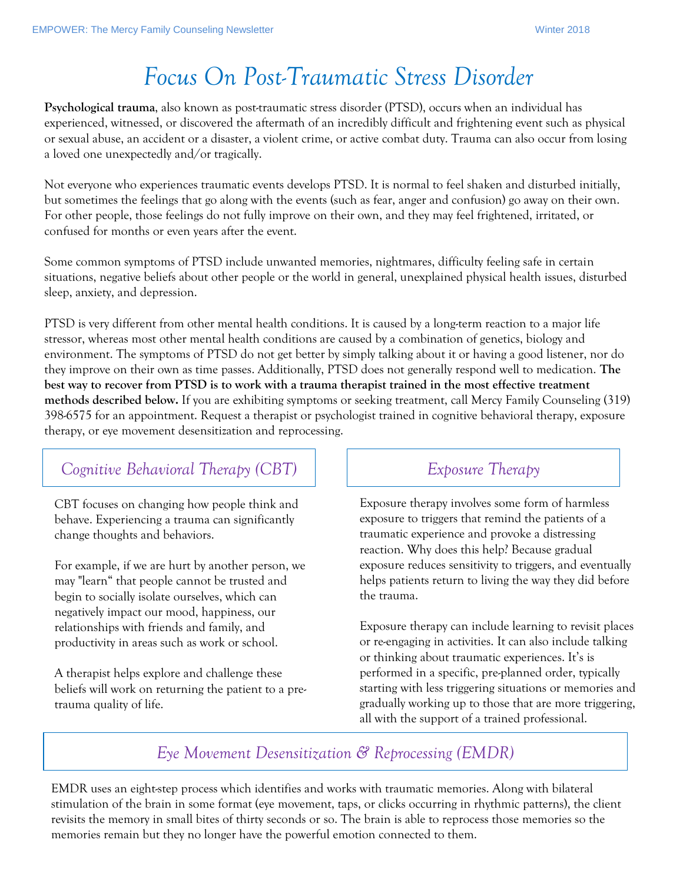# <span id="page-2-0"></span>*Focus On Post-Traumatic Stress Disorder*

**Psychological trauma**, also known as post-traumatic stress disorder (PTSD), occurs when an individual has experienced, witnessed, or discovered the aftermath of an incredibly difficult and frightening event such as physical or sexual abuse, an accident or a disaster, a violent crime, or active combat duty. Trauma can also occur from losing a loved one unexpectedly and/or tragically.

Not everyone who experiences traumatic events develops PTSD. It is normal to feel shaken and disturbed initially, but sometimes the feelings that go along with the events (such as fear, anger and confusion) go away on their own. For other people, those feelings do not fully improve on their own, and they may feel frightened, irritated, or confused for months or even years after the event.

Some common symptoms of PTSD include unwanted memories, nightmares, difficulty feeling safe in certain situations, negative beliefs about other people or the world in general, unexplained physical health issues, disturbed sleep, anxiety, and depression.

PTSD is very different from other mental health conditions. It is caused by a long-term reaction to a major life stressor, whereas most other mental health conditions are caused by a combination of genetics, biology and environment. The symptoms of PTSD do not get better by simply talking about it or having a good listener, nor do they improve on their own as time passes. Additionally, PTSD does not generally respond well to medication. **The best way to recover from PTSD is to work with a trauma therapist trained in the most effective treatment methods described below.** If you are exhibiting symptoms or seeking treatment, call Mercy Family Counseling (319) 398-6575 for an appointment. Request a therapist or psychologist trained in cognitive behavioral therapy, exposure therapy, or eye movement desensitization and reprocessing.

#### *Cognitive Behavioral Therapy (CBT) Exposure Therapy*

CBT focuses on changing how people think and behave. Experiencing a trauma can significantly change thoughts and behaviors.

For example, if we are hurt by another person, we may "learn" that people cannot be trusted and begin to socially isolate ourselves, which can negatively impact our mood, happiness, our relationships with friends and family, and productivity in areas such as work or school.

A therapist helps explore and challenge these beliefs will work on returning the patient to a pretrauma quality of life.

Exposure therapy involves some form of harmless exposure to triggers that remind the patients of a traumatic experience and provoke a distressing reaction. Why does this help? Because gradual exposure reduces sensitivity to triggers, and eventually helps patients return to living the way they did before the trauma.

Exposure therapy can include learning to revisit places or re-engaging in activities. It can also include talking or thinking about traumatic experiences. It's is performed in a specific, pre-planned order, typically starting with less triggering situations or memories and gradually working up to those that are more triggering, all with the support of a trained professional.

#### *Eye Movement Desensitization & Reprocessing (EMDR)*

EMDR uses an eight-step process which identifies and works with traumatic memories. Along with bilateral stimulation of the brain in some format (eye movement, taps, or clicks occurring in rhythmic patterns), the client revisits the memory in small bites of thirty seconds or so. The brain is able to reprocess those memories so the memories remain but they no longer have the powerful emotion connected to them.